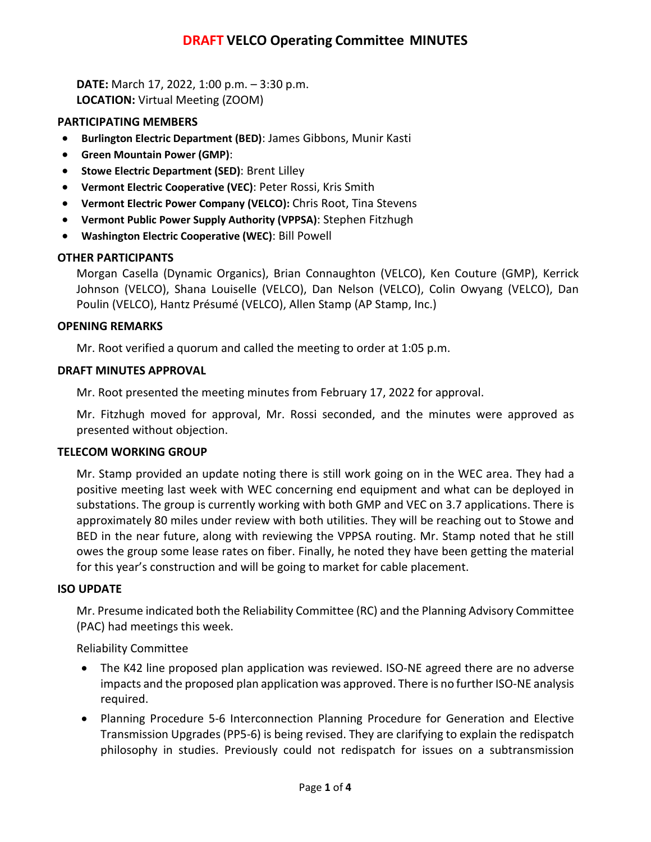# **DRAFT VELCO Operating Committee MINUTES**

**DATE:** March 17, 2022, 1:00 p.m. – 3:30 p.m. **LOCATION:** Virtual Meeting (ZOOM)

### **PARTICIPATING MEMBERS**

- **Burlington Electric Department (BED)**: James Gibbons, Munir Kasti
- **Green Mountain Power (GMP)**:
- **Stowe Electric Department (SED)**: Brent Lilley
- **Vermont Electric Cooperative (VEC)**: Peter Rossi, Kris Smith
- **Vermont Electric Power Company (VELCO):** Chris Root, Tina Stevens
- **Vermont Public Power Supply Authority (VPPSA)**: Stephen Fitzhugh
- **Washington Electric Cooperative (WEC)**: Bill Powell

### **OTHER PARTICIPANTS**

Morgan Casella (Dynamic Organics), Brian Connaughton (VELCO), Ken Couture (GMP), Kerrick Johnson (VELCO), Shana Louiselle (VELCO), Dan Nelson (VELCO), Colin Owyang (VELCO), Dan Poulin (VELCO), Hantz Présumé (VELCO), Allen Stamp (AP Stamp, Inc.)

### **OPENING REMARKS**

Mr. Root verified a quorum and called the meeting to order at 1:05 p.m.

### **DRAFT MINUTES APPROVAL**

Mr. Root presented the meeting minutes from February 17, 2022 for approval.

Mr. Fitzhugh moved for approval, Mr. Rossi seconded, and the minutes were approved as presented without objection.

#### **TELECOM WORKING GROUP**

Mr. Stamp provided an update noting there is still work going on in the WEC area. They had a positive meeting last week with WEC concerning end equipment and what can be deployed in substations. The group is currently working with both GMP and VEC on 3.7 applications. There is approximately 80 miles under review with both utilities. They will be reaching out to Stowe and BED in the near future, along with reviewing the VPPSA routing. Mr. Stamp noted that he still owes the group some lease rates on fiber. Finally, he noted they have been getting the material for this year's construction and will be going to market for cable placement.

#### **ISO UPDATE**

Mr. Presume indicated both the Reliability Committee (RC) and the Planning Advisory Committee (PAC) had meetings this week.

Reliability Committee

- The K42 line proposed plan application was reviewed. ISO-NE agreed there are no adverse impacts and the proposed plan application was approved. There is no further ISO-NE analysis required.
- Planning Procedure 5-6 Interconnection Planning Procedure for Generation and Elective Transmission Upgrades (PP5-6) is being revised. They are clarifying to explain the redispatch philosophy in studies. Previously could not redispatch for issues on a subtransmission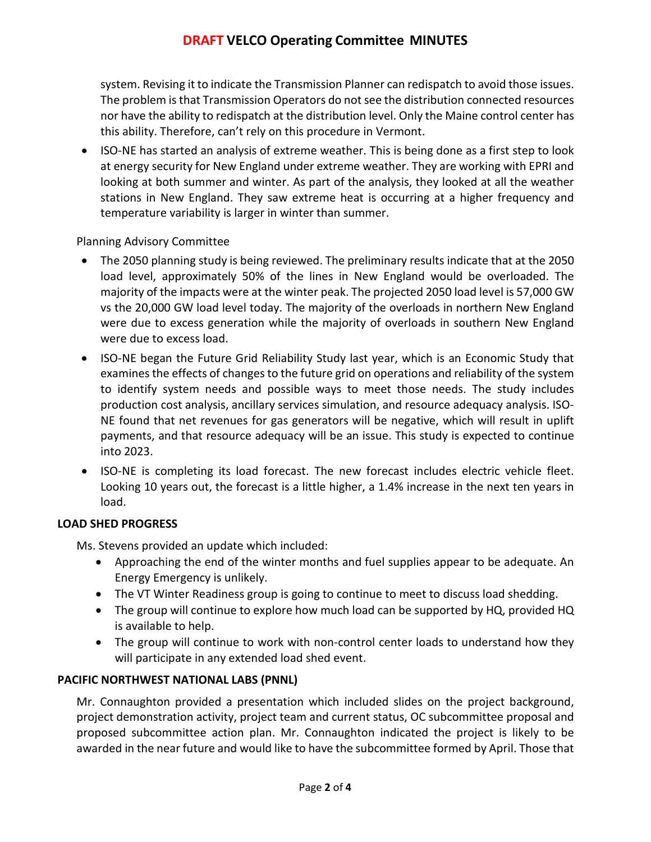# **DRAFT VELCO Operating Committee MINUTES**

system. Revising it to indicate the Transmission Planner can redispatch to avoid those issues. The problem is that Transmission Operators do not see the distribution connected resources nor have the ability to redispatch at the distribution level. Only the Maine control center has this ability. Therefore, can't rely on this procedure in Vermont.

• ISO-NE has started an analysis of extreme weather. This is being done as a first step to look at energy security for New England under extreme weather. They are working with EPRI and looking at both summer and winter. As part of the analysis, they looked at all the weather stations in New England. They saw extreme heat is occurring at a higher frequency and temperature variability is larger in winter than summer.

## Planning Advisory Committee

- The 2050 planning study is being reviewed. The preliminary results indicate that at the 2050 load level, approximately 50% of the lines in New England would be overloaded. The majority of the impacts were at the winter peak. The projected 2050 load level is 57,000 GW vs the 20,000 GW load level today. The majority of the overloads in northern New England were due to excess generation while the majority of overloads in southern New England were due to excess load.
- ISO-NE began the Future Grid Reliability Study last year, which is an Economic Study that examines the effects of changes to the future grid on operations and reliability of the system to identify system needs and possible ways to meet those needs. The study includes production cost analysis, ancillary services simulation, and resource adequacy analysis. ISO-NE found that net revenues for gas generators will be negative, which will result in uplift payments, and that resource adequacy will be an issue. This study is expected to continue into 2023.
- ISO-NE is completing its load forecast. The new forecast includes electric vehicle fleet. Looking 10 years out, the forecast is a little higher, a 1.4% increase in the next ten years in load.

### **LOAD SHED PROGRESS**

Ms. Stevens provided an update which included:

- Approaching the end of the winter months and fuel supplies appear to be adequate. An Energy Emergency is unlikely.
- The VT Winter Readiness group is going to continue to meet to discuss load shedding.
- The group will continue to explore how much load can be supported by HQ, provided HQ is available to help.
- The group will continue to work with non-control center loads to understand how they will participate in any extended load shed event.

## **PACIFIC NORTHWEST NATIONAL LABS (PNNL)**

Mr. Connaughton provided a presentation which included slides on the project background, project demonstration activity, project team and current status, OC subcommittee proposal and proposed subcommittee action plan. Mr. Connaughton indicated the project is likely to be awarded in the near future and would like to have the subcommittee formed by April. Those that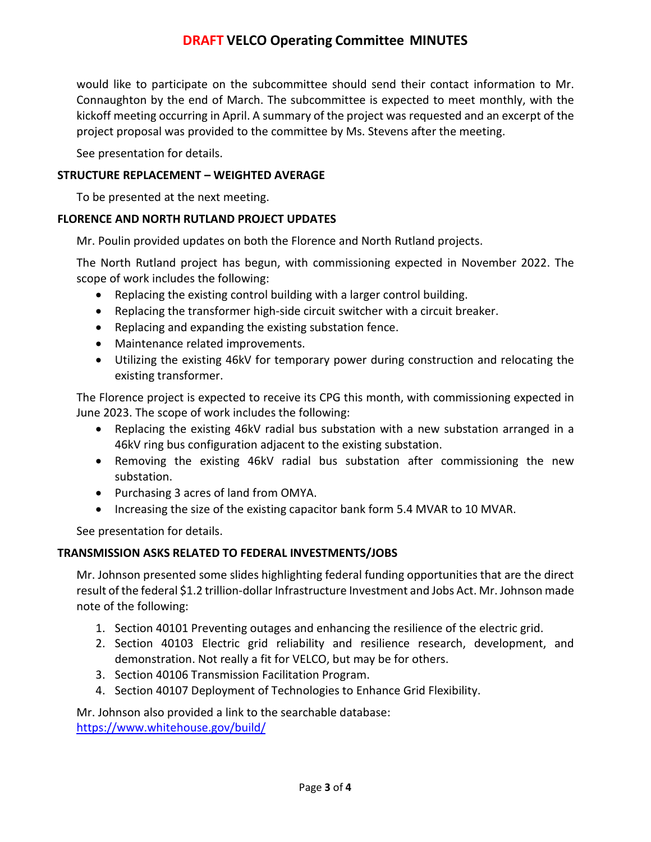# **DRAFT VELCO Operating Committee MINUTES**

would like to participate on the subcommittee should send their contact information to Mr. Connaughton by the end of March. The subcommittee is expected to meet monthly, with the kickoff meeting occurring in April. A summary of the project was requested and an excerpt of the project proposal was provided to the committee by Ms. Stevens after the meeting.

See presentation for details.

## **STRUCTURE REPLACEMENT – WEIGHTED AVERAGE**

To be presented at the next meeting.

### **FLORENCE AND NORTH RUTLAND PROJECT UPDATES**

Mr. Poulin provided updates on both the Florence and North Rutland projects.

The North Rutland project has begun, with commissioning expected in November 2022. The scope of work includes the following:

- Replacing the existing control building with a larger control building.
- Replacing the transformer high-side circuit switcher with a circuit breaker.
- Replacing and expanding the existing substation fence.
- Maintenance related improvements.
- Utilizing the existing 46kV for temporary power during construction and relocating the existing transformer.

The Florence project is expected to receive its CPG this month, with commissioning expected in June 2023. The scope of work includes the following:

- Replacing the existing 46kV radial bus substation with a new substation arranged in a 46kV ring bus configuration adjacent to the existing substation.
- Removing the existing 46kV radial bus substation after commissioning the new substation.
- Purchasing 3 acres of land from OMYA.
- Increasing the size of the existing capacitor bank form 5.4 MVAR to 10 MVAR.

See presentation for details.

### **TRANSMISSION ASKS RELATED TO FEDERAL INVESTMENTS/JOBS**

Mr. Johnson presented some slides highlighting federal funding opportunities that are the direct result of the federal \$1.2 trillion-dollar Infrastructure Investment and Jobs Act. Mr. Johnson made note of the following:

- 1. Section 40101 Preventing outages and enhancing the resilience of the electric grid.
- 2. Section 40103 Electric grid reliability and resilience research, development, and demonstration. Not really a fit for VELCO, but may be for others.
- 3. Section 40106 Transmission Facilitation Program.
- 4. Section 40107 Deployment of Technologies to Enhance Grid Flexibility.

Mr. Johnson also provided a link to the searchable database:

<https://www.whitehouse.gov/build/>